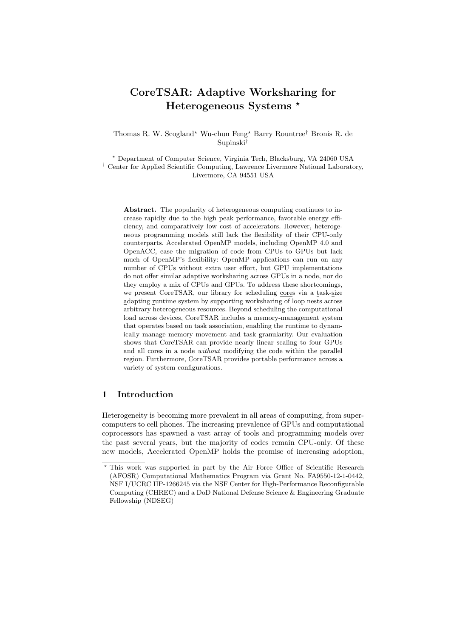# CoreTSAR: Adaptive Worksharing for Heterogeneous Systems ?

Thomas R. W. Scogland? Wu-chun Feng? Barry Rountree*†* Bronis R. de Supinski*†*

? Department of Computer Science, Virginia Tech, Blacksburg, VA 24060 USA *†* Center for Applied Scientific Computing, Lawrence Livermore National Laboratory, Livermore, CA 94551 USA

Abstract. The popularity of heterogeneous computing continues to increase rapidly due to the high peak performance, favorable energy efficiency, and comparatively low cost of accelerators. However, heterogeneous programming models still lack the flexibility of their CPU-only counterparts. Accelerated OpenMP models, including OpenMP 4.0 and OpenACC, ease the migration of code from CPUs to GPUs but lack much of OpenMP's flexibility: OpenMP applications can run on any number of CPUs without extra user effort, but GPU implementations do not offer similar adaptive worksharing across GPUs in a node, nor do they employ a mix of CPUs and GPUs. To address these shortcomings, we present CoreTSAR, our library for scheduling cores via a task-size adapting runtime system by supporting worksharing of loop nests across arbitrary heterogeneous resources. Beyond scheduling the computational load across devices, CoreTSAR includes a memory-management system that operates based on task association, enabling the runtime to dynamically manage memory movement and task granularity. Our evaluation shows that CoreTSAR can provide nearly linear scaling to four GPUs and all cores in a node *without* modifying the code within the parallel region. Furthermore, CoreTSAR provides portable performance across a variety of system configurations.

# 1 Introduction

Heterogeneity is becoming more prevalent in all areas of computing, from supercomputers to cell phones. The increasing prevalence of GPUs and computational coprocessors has spawned a vast array of tools and programming models over the past several years, but the majority of codes remain CPU-only. Of these new models, Accelerated OpenMP holds the promise of increasing adoption,

 $*$  This work was supported in part by the Air Force Office of Scientific Research (AFOSR) Computational Mathematics Program via Grant No. FA9550-12-1-0442, NSF I/UCRC IIP-1266245 via the NSF Center for High-Performance Reconfigurable Computing (CHREC) and a DoD National Defense Science & Engineering Graduate Fellowship (NDSEG)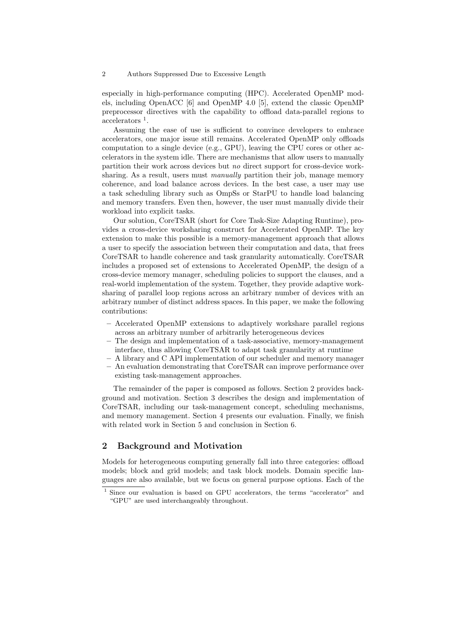especially in high-performance computing (HPC). Accelerated OpenMP models, including OpenACC [6] and OpenMP 4.0 [5], extend the classic OpenMP preprocessor directives with the capability to offload data-parallel regions to accelerators <sup>1</sup>.

Assuming the ease of use is sufficient to convince developers to embrace accelerators, one major issue still remains. Accelerated OpenMP only offloads computation to a single device (e.g., GPU), leaving the CPU cores or other accelerators in the system idle. There are mechanisms that allow users to manually partition their work across devices but *no* direct support for cross-device worksharing. As a result, users must *manually* partition their job, manage memory coherence, and load balance across devices. In the best case, a user may use a task scheduling library such as OmpSs or StarPU to handle load balancing and memory transfers. Even then, however, the user must manually divide their workload into explicit tasks.

Our solution, CoreTSAR (short for Core Task-Size Adapting Runtime), provides a cross-device worksharing construct for Accelerated OpenMP. The key extension to make this possible is a memory-management approach that allows a user to specify the association between their computation and data, that frees CoreTSAR to handle coherence and task granularity automatically. CoreTSAR includes a proposed set of extensions to Accelerated OpenMP, the design of a cross-device memory manager, scheduling policies to support the clauses, and a real-world implementation of the system. Together, they provide adaptive worksharing of parallel loop regions across an arbitrary number of devices with an arbitrary number of distinct address spaces. In this paper, we make the following contributions:

- Accelerated OpenMP extensions to adaptively workshare parallel regions across an arbitrary number of arbitrarily heterogeneous devices
- The design and implementation of a task-associative, memory-management interface, thus allowing CoreTSAR to adapt task granularity at runtime
- A library and C API implementation of our scheduler and memory manager
- An evaluation demonstrating that CoreTSAR can improve performance over existing task-management approaches.

The remainder of the paper is composed as follows. Section 2 provides background and motivation. Section 3 describes the design and implementation of CoreTSAR, including our task-management concept, scheduling mechanisms, and memory management. Section 4 presents our evaluation. Finally, we finish with related work in Section 5 and conclusion in Section 6.

# 2 Background and Motivation

Models for heterogeneous computing generally fall into three categories: offload models; block and grid models; and task block models. Domain specific languages are also available, but we focus on general purpose options. Each of the

<sup>&</sup>lt;sup>1</sup> Since our evaluation is based on GPU accelerators, the terms "accelerator" and "GPU" are used interchangeably throughout.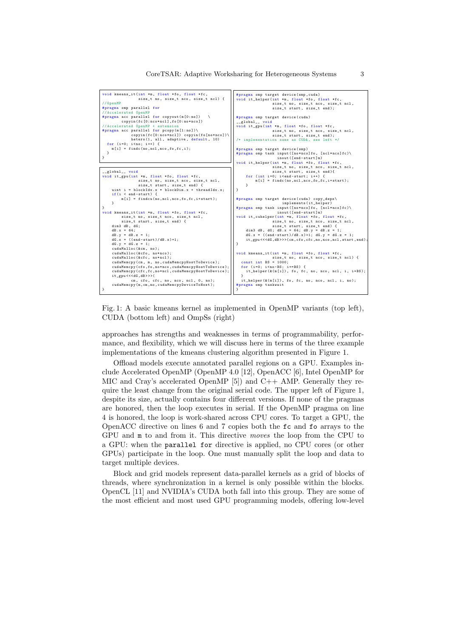

Fig. 1: A basic kmeans kernel as implemented in OpenMP variants (top left), CUDA (bottom left) and OmpSs (right)

approaches has strengths and weaknesses in terms of programmability, performance, and flexibility, which we will discuss here in terms of the three example implementations of the kmeans clustering algorithm presented in Figure 1.

Offload models execute annotated parallel regions on a GPU. Examples include Accelerated OpenMP (OpenMP 4.0 [12], OpenACC [6], Intel OpenMP for MIC and Cray's accelerated OpenMP [5]) and C++ AMP. Generally they require the least change from the original serial code. The upper left of Figure 1, despite its size, actually contains four different versions. If none of the pragmas are honored, then the loop executes in serial. If the OpenMP pragma on line 4 is honored, the loop is work-shared across CPU cores. To target a GPU, the OpenACC directive on lines 6 and 7 copies both the fc and fo arrays to the GPU and m to and from it. This directive *moves* the loop from the CPU to a GPU: when the parallel for directive is applied, no CPU cores (or other GPUs) participate in the loop. One must manually split the loop and data to target multiple devices.

Block and grid models represent data-parallel kernels as a grid of blocks of threads, where synchronization in a kernel is only possible within the blocks. OpenCL [11] and NVIDIA's CUDA both fall into this group. They are some of the most efficient and most used GPU programming models, offering low-level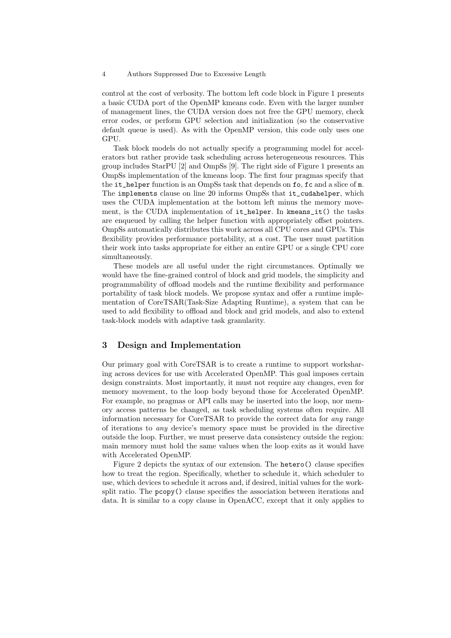control at the cost of verbosity. The bottom left code block in Figure 1 presents a basic CUDA port of the OpenMP kmeans code. Even with the larger number of management lines, the CUDA version does not free the GPU memory, check error codes, or perform GPU selection and initialization (so the conservative default queue is used). As with the OpenMP version, this code only uses one GPU.

Task block models do not actually specify a programming model for accelerators but rather provide task scheduling across heterogeneous resources. This group includes StarPU [2] and OmpSs [9]. The right side of Figure 1 presents an OmpSs implementation of the kmeans loop. The first four pragmas specify that the it\_helper function is an OmpSs task that depends on fo, fc and a slice of m. The implements clause on line 20 informs OmpSs that it\_cudahelper, which uses the CUDA implementation at the bottom left minus the memory movement, is the CUDA implementation of it\_helper. In kmeans\_it() the tasks are enqueued by calling the helper function with appropriately offset pointers. OmpSs automatically distributes this work across all CPU cores and GPUs. This flexibility provides performance portability, at a cost. The user must partition their work into tasks appropriate for either an entire GPU or a single CPU core simultaneously.

These models are all useful under the right circumstances. Optimally we would have the fine-grained control of block and grid models, the simplicity and programmability of offload models and the runtime flexibility and performance portability of task block models. We propose syntax and offer a runtime implementation of CoreTSAR(Task-Size Adapting Runtime), a system that can be used to add flexibility to offload and block and grid models, and also to extend task-block models with adaptive task granularity.

# 3 Design and Implementation

Our primary goal with CoreTSAR is to create a runtime to support worksharing across devices for use with Accelerated OpenMP. This goal imposes certain design constraints. Most importantly, it must not require any changes, even for memory movement, to the loop body beyond those for Accelerated OpenMP. For example, no pragmas or API calls may be inserted into the loop, nor memory access patterns be changed, as task scheduling systems often require. All information necessary for CoreTSAR to provide the correct data for *any* range of iterations to *any* device's memory space must be provided in the directive outside the loop. Further, we must preserve data consistency outside the region: main memory must hold the same values when the loop exits as it would have with Accelerated OpenMP.

Figure 2 depicts the syntax of our extension. The hetero() clause specifies how to treat the region. Specifically, whether to schedule it, which scheduler to use, which devices to schedule it across and, if desired, initial values for the worksplit ratio. The pcopy() clause specifies the association between iterations and data. It is similar to a copy clause in OpenACC, except that it only applies to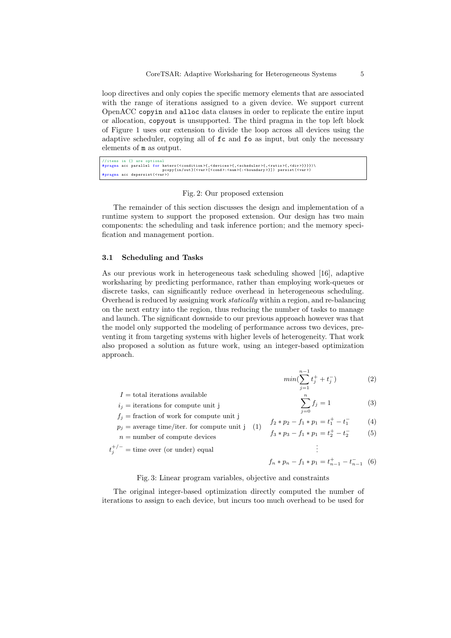loop directives and only copies the specific memory elements that are associated with the range of iterations assigned to a given device. We support current OpenACC copyin and alloc data clauses in order to replicate the entire input or allocation, copyout is unsupported. The third pragma in the top left block of Figure 1 uses our extension to divide the loop across all devices using the adaptive scheduler, copying all of fc and fo as input, but only the necessary elements of m as output.

//items in {} are optional<br>#pragma acc parallel for hetero(<condition>{,<devices>{,<scheduler>{,<ratio>{,<div>}}}})\<br>#pragma acc depersist(<var>)<br>#pragma acc depersist(<var>)

### Fig. 2: Our proposed extension

The remainder of this section discusses the design and implementation of a runtime system to support the proposed extension. Our design has two main components: the scheduling and task inference portion; and the memory specification and management portion.

### 3.1 Scheduling and Tasks

 $i_j =$ 

As our previous work in heterogeneous task scheduling showed [16], adaptive worksharing by predicting performance, rather than employing work-queues or discrete tasks, can significantly reduce overhead in heterogeneous scheduling. Overhead is reduced by assigning work *statically* within a region, and re-balancing on the next entry into the region, thus reducing the number of tasks to manage and launch. The significant downside to our previous approach however was that the model only supported the modeling of performance across two devices, preventing it from targeting systems with higher levels of heterogeneity. That work also proposed a solution as future work, using an integer-based optimization approach.

$$
min(\sum_{j=1}^{n-1} t_j^+ + t_j^-) \tag{2}
$$

*I* = total iterations available  
\n
$$
i_j
$$
 = iterations for compute unit j  
\n $f_j$  = fraction of work for compute unit j  
\n $f_0 * p_0 = f_1 * p_1 = t_1^+ - t_1^-$  (4)

$$
f_j
$$
 = fraction of work for compute unit j  
\n $p_j$  = average time/iter. for compute unit j (1)  $f_2 * p_2 - f_1 * p_1 = t_1^+ - t_1^-$  (4)  
\n $f_2 * p_2 - f_1 * p_1 = t_1^+ - t_1^-$  (5)

$$
f_3 * p_3 - f_1 * p_1 = t_2^+ - t_2^-
$$
 (5)

$$
t_j^{+/-}
$$
 = time over (or under) equal

$$
f_n * p_n - f_1 * p_1 = t_{n-1}^+ - t_{n-1}^- \quad (6)
$$

. .

Fig. 3: Linear program variables, objective and constraints

The original integer-based optimization directly computed the number of iterations to assign to each device, but incurs too much overhead to be used for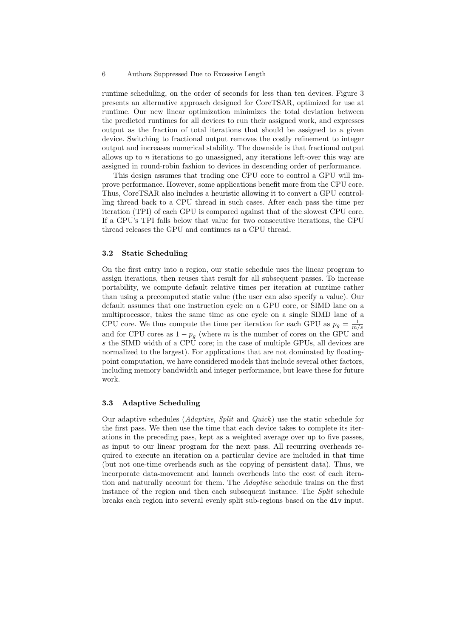runtime scheduling, on the order of seconds for less than ten devices. Figure 3 presents an alternative approach designed for CoreTSAR, optimized for use at runtime. Our new linear optimization minimizes the total deviation between the predicted runtimes for all devices to run their assigned work, and expresses output as the fraction of total iterations that should be assigned to a given device. Switching to fractional output removes the costly refinement to integer output and increases numerical stability. The downside is that fractional output allows up to *n* iterations to go unassigned, any iterations left-over this way are assigned in round-robin fashion to devices in descending order of performance.

This design assumes that trading one CPU core to control a GPU will improve performance. However, some applications benefit more from the CPU core. Thus, CoreTSAR also includes a heuristic allowing it to convert a GPU controlling thread back to a CPU thread in such cases. After each pass the time per iteration (TPI) of each GPU is compared against that of the slowest CPU core. If a GPU's TPI falls below that value for two consecutive iterations, the GPU thread releases the GPU and continues as a CPU thread.

## 3.2 Static Scheduling

On the first entry into a region, our static schedule uses the linear program to assign iterations, then reuses that result for all subsequent passes. To increase portability, we compute default relative times per iteration at runtime rather than using a precomputed static value (the user can also specify a value). Our default assumes that one instruction cycle on a GPU core, or SIMD lane on a multiprocessor, takes the same time as one cycle on a single SIMD lane of a CPU core. We thus compute the time per iteration for each GPU as  $p_g = \frac{1}{m/s}$ and for CPU cores as  $1 - p_g$  (where *m* is the number of cores on the GPU and *s* the SIMD width of a CPU core; in the case of multiple GPUs, all devices are normalized to the largest). For applications that are not dominated by floatingpoint computation, we have considered models that include several other factors, including memory bandwidth and integer performance, but leave these for future work.

# 3.3 Adaptive Scheduling

Our adaptive schedules (*Adaptive*, *Split* and *Quick*) use the static schedule for the first pass. We then use the time that each device takes to complete its iterations in the preceding pass, kept as a weighted average over up to five passes, as input to our linear program for the next pass. All recurring overheads required to execute an iteration on a particular device are included in that time (but not one-time overheads such as the copying of persistent data). Thus, we incorporate data-movement and launch overheads into the cost of each iteration and naturally account for them. The *Adaptive* schedule trains on the first instance of the region and then each subsequent instance. The *Split* schedule breaks each region into several evenly split sub-regions based on the div input.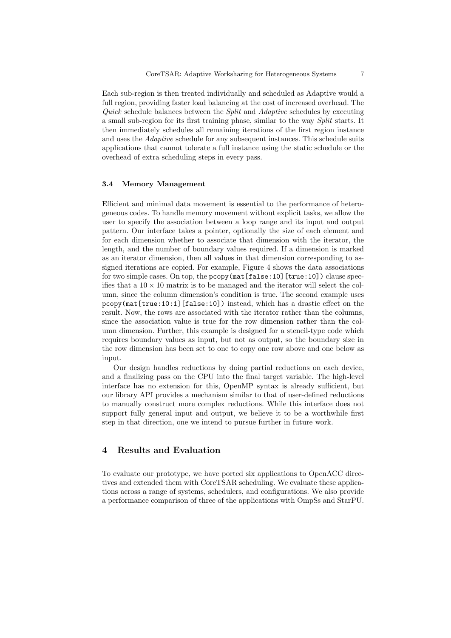Each sub-region is then treated individually and scheduled as Adaptive would a full region, providing faster load balancing at the cost of increased overhead. The *Quick* schedule balances between the *Split* and *Adaptive* schedules by executing a small sub-region for its first training phase, similar to the way *Split* starts. It then immediately schedules all remaining iterations of the first region instance and uses the *Adaptive* schedule for any subsequent instances. This schedule suits applications that cannot tolerate a full instance using the static schedule or the overhead of extra scheduling steps in every pass.

### 3.4 Memory Management

Efficient and minimal data movement is essential to the performance of heterogeneous codes. To handle memory movement without explicit tasks, we allow the user to specify the association between a loop range and its input and output pattern. Our interface takes a pointer, optionally the size of each element and for each dimension whether to associate that dimension with the iterator, the length, and the number of boundary values required. If a dimension is marked as an iterator dimension, then all values in that dimension corresponding to assigned iterations are copied. For example, Figure 4 shows the data associations for two simple cases. On top, the pcopy  $(\text{mat}[false:10][true:10])$  clause specifies that a  $10 \times 10$  matrix is to be managed and the iterator will select the column, since the column dimension's condition is true. The second example uses  $pcopy(mat[true:10:1][false:10])$  instead, which has a drastic effect on the result. Now, the rows are associated with the iterator rather than the columns, since the association value is true for the row dimension rather than the column dimension. Further, this example is designed for a stencil-type code which requires boundary values as input, but not as output, so the boundary size in the row dimension has been set to one to copy one row above and one below as input.

Our design handles reductions by doing partial reductions on each device, and a finalizing pass on the CPU into the final target variable. The high-level interface has no extension for this, OpenMP syntax is already sufficient, but our library API provides a mechanism similar to that of user-defined reductions to manually construct more complex reductions. While this interface does not support fully general input and output, we believe it to be a worthwhile first step in that direction, one we intend to pursue further in future work.

# 4 Results and Evaluation

To evaluate our prototype, we have ported six applications to OpenACC directives and extended them with CoreTSAR scheduling. We evaluate these applications across a range of systems, schedulers, and configurations. We also provide a performance comparison of three of the applications with OmpSs and StarPU.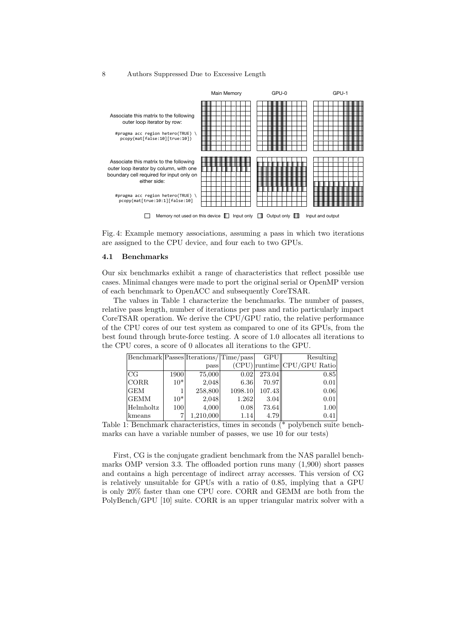

Fig. 4: Example memory associations, assuming a pass in which two iterations are assigned to the CPU device, and four each to two GPUs.

#### 4.1 Benchmarks

Our six benchmarks exhibit a range of characteristics that reflect possible use cases. Minimal changes were made to port the original serial or OpenMP version of each benchmark to OpenACC and subsequently CoreTSAR.

The values in Table 1 characterize the benchmarks. The number of passes, relative pass length, number of iterations per pass and ratio particularly impact CoreTSAR operation. We derive the CPU/GPU ratio, the relative performance of the CPU cores of our test system as compared to one of its GPUs, from the best found through brute-force testing. A score of 1.0 allocates all iterations to the CPU cores, a score of 0 allocates all iterations to the GPU.

| Benchmark Passes Iterations / Time/pass |       |           |         | <b>GPU</b> | Resulting                   |  |
|-----------------------------------------|-------|-----------|---------|------------|-----------------------------|--|
|                                         |       | pass      |         |            | (CPU) runtime CPU/GPU Ratio |  |
| $ {\rm CG}$                             | 1900  | 75,000    | 0.02    | 273.04     | 0.85                        |  |
| <b>CORR</b>                             | $10*$ | 2,048     | 6.36    | 70.97      | 0.01                        |  |
| <b>GEM</b>                              |       | 258,800   | 1098.10 | 107.43     | 0.06                        |  |
| <b>GEMM</b>                             | $10*$ | 2,048     | 1.262   | 3.04       | 0.01                        |  |
| Helmholtz                               | 100   | 4,000     | 0.08    | 73.64      | 1.00                        |  |
| kmeans                                  | ⇁     | 1,210,000 | 1.14    | 4.79       | 0.41                        |  |

Table 1: Benchmark characteristics, times in seconds (\* polybench suite benchmarks can have a variable number of passes, we use 10 for our tests)

First, CG is the conjugate gradient benchmark from the NAS parallel benchmarks OMP version 3.3. The offloaded portion runs many  $(1,900)$  short passes and contains a high percentage of indirect array accesses. This version of CG is relatively unsuitable for GPUs with a ratio of 0.85, implying that a GPU is only 20% faster than one CPU core. CORR and GEMM are both from the PolyBench/GPU [10] suite. CORR is an upper triangular matrix solver with a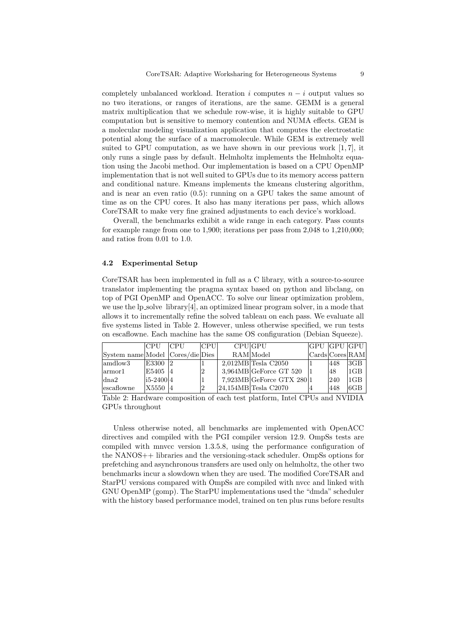completely unbalanced workload. Iteration *i* computes  $n - i$  output values so no two iterations, or ranges of iterations, are the same. GEMM is a general matrix multiplication that we schedule row-wise, it is highly suitable to GPU computation but is sensitive to memory contention and NUMA effects. GEM is a molecular modeling visualization application that computes the electrostatic potential along the surface of a macromolecule. While GEM is extremely well suited to GPU computation, as we have shown in our previous work  $[1, 7]$ , it only runs a single pass by default. Helmholtz implements the Helmholtz equation using the Jacobi method. Our implementation is based on a CPU OpenMP implementation that is not well suited to GPUs due to its memory access pattern and conditional nature. Kmeans implements the kmeans clustering algorithm, and is near an even ratio (0.5): running on a GPU takes the same amount of time as on the CPU cores. It also has many iterations per pass, which allows CoreTSAR to make very fine grained adjustments to each device's workload.

Overall, the benchmarks exhibit a wide range in each category. Pass counts for example range from one to 1,900; iterations per pass from 2,048 to 1,210,000; and ratios from 0.01 to 1.0.

### 4.2 Experimental Setup

CoreTSAR has been implemented in full as a C library, with a source-to-source translator implementing the pragma syntax based on python and libclang, on top of PGI OpenMP and OpenACC. To solve our linear optimization problem, we use the lp\_solve library[4], an optimized linear program solver, in a mode that allows it to incrementally refine the solved tableau on each pass. We evaluate all five systems listed in Table 2. However, unless otherwise specified, we run tests on escaflowne. Each machine has the same OS configuration (Debian Squeeze).

|                                  | ICPU                | CPII | CPU- | <b>CPU</b> <sub>GPU</sub>   | GPU  GPU  GPU                         |     |     |
|----------------------------------|---------------------|------|------|-----------------------------|---------------------------------------|-----|-----|
| System name Model Cores/die Dies |                     |      |      | RAM Model                   | $ {\rm Cards} {\rm Cores} {\rm RAM} $ |     |     |
| amdlow3                          | E3300               |      |      | $2.012MB$ Tesla C2050       |                                       | 448 | 3GB |
| armor1                           | E5405               | 14   |      | $3,964MB$ GeForce GT 520    |                                       | 48  | 1GB |
| dna2                             | $\frac{15-2400}{4}$ |      |      | $7,923MB$ GeForce GTX 280 1 |                                       | 240 | 1GB |
| escaflowne                       | X5550               | 14   | 2    | 24.154MB Tesla C2070        |                                       | 448 | 6GB |

Table 2: Hardware composition of each test platform, Intel CPUs and NVIDIA GPUs throughout

Unless otherwise noted, all benchmarks are implemented with OpenACC directives and compiled with the PGI compiler version 12.9. OmpSs tests are compiled with mnvcc version 1.3.5.8, using the performance configuration of the NANOS++ libraries and the versioning-stack scheduler. OmpSs options for prefetching and asynchronous transfers are used only on helmholtz, the other two benchmarks incur a slowdown when they are used. The modified CoreTSAR and StarPU versions compared with OmpSs are compiled with nvcc and linked with GNU OpenMP (gomp). The StarPU implementations used the "dmda" scheduler with the history based performance model, trained on ten plus runs before results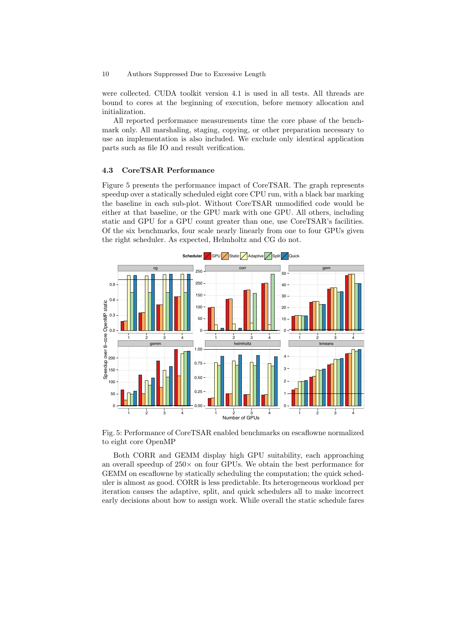were collected. CUDA toolkit version 4.1 is used in all tests. All threads are bound to cores at the beginning of execution, before memory allocation and initialization.

All reported performance measurements time the core phase of the benchmark only. All marshaling, staging, copying, or other preparation necessary to use an implementation is also included. We exclude only identical application parts such as file IO and result verification.

## 4.3 CoreTSAR Performance

Figure 5 presents the performance impact of CoreTSAR. The graph represents speedup over a statically scheduled eight core CPU run, with a black bar marking the baseline in each sub-plot. Without CoreTSAR unmodified code would be either at that baseline, or the GPU mark with one GPU. All others, including static and GPU for a GPU count greater than one, use CoreTSAR's facilities. Of the six benchmarks, four scale nearly linearly from one to four GPUs given the right scheduler. As expected, Helmholtz and CG do not.



Fig. 5: Performance of CoreTSAR enabled benchmarks on escaflowne normalized to eight core OpenMP

Both CORR and GEMM display high GPU suitability, each approaching an overall speedup of  $250\times$  on four GPUs. We obtain the best performance for GEMM on escaflowne by statically scheduling the computation; the quick scheduler is almost as good. CORR is less predictable. Its heterogeneous workload per iteration causes the adaptive, split, and quick schedulers all to make incorrect early decisions about how to assign work. While overall the static schedule fares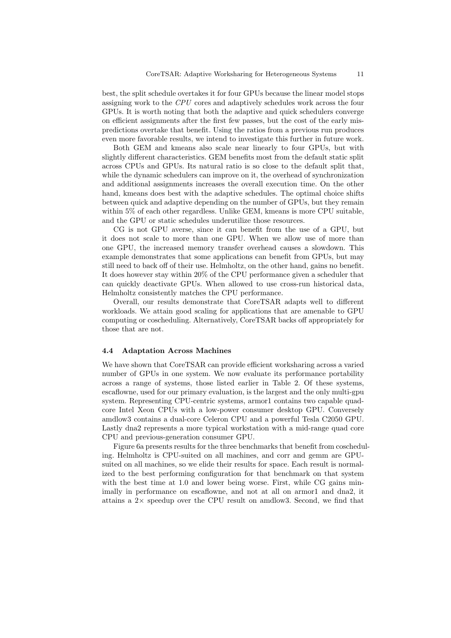best, the split schedule overtakes it for four GPUs because the linear model stops assigning work to the *CPU* cores and adaptively schedules work across the four GPUs. It is worth noting that both the adaptive and quick schedulers converge on efficient assignments after the first few passes, but the cost of the early mispredictions overtake that benefit. Using the ratios from a previous run produces even more favorable results, we intend to investigate this further in future work.

Both GEM and kmeans also scale near linearly to four GPUs, but with slightly different characteristics. GEM benefits most from the default static split across CPUs and GPUs. Its natural ratio is so close to the default split that, while the dynamic schedulers can improve on it, the overhead of synchronization and additional assignments increases the overall execution time. On the other hand, kmeans does best with the adaptive schedules. The optimal choice shifts between quick and adaptive depending on the number of GPUs, but they remain within 5% of each other regardless. Unlike GEM, kmeans is more CPU suitable, and the GPU or static schedules underutilize those resources.

CG is not GPU averse, since it can benefit from the use of a GPU, but it does not scale to more than one GPU. When we allow use of more than one GPU, the increased memory transfer overhead causes a slowdown. This example demonstrates that some applications can benefit from GPUs, but may still need to back off of their use. Helmholtz, on the other hand, gains no benefit. It does however stay within 20% of the CPU performance given a scheduler that can quickly deactivate GPUs. When allowed to use cross-run historical data, Helmholtz consistently matches the CPU performance.

Overall, our results demonstrate that CoreTSAR adapts well to different workloads. We attain good scaling for applications that are amenable to GPU computing or coscheduling. Alternatively, CoreTSAR backs off appropriately for those that are not.

### 4.4 Adaptation Across Machines

We have shown that CoreTSAR can provide efficient worksharing across a varied number of GPUs in one system. We now evaluate its performance portability across a range of systems, those listed earlier in Table 2. Of these systems, escaflowne, used for our primary evaluation, is the largest and the only multi-gpu system. Representing CPU-centric systems, armor1 contains two capable quadcore Intel Xeon CPUs with a low-power consumer desktop GPU. Conversely amdlow3 contains a dual-core Celeron CPU and a powerful Tesla C2050 GPU. Lastly dna2 represents a more typical workstation with a mid-range quad core CPU and previous-generation consumer GPU.

Figure 6a presents results for the three benchmarks that benefit from coscheduling. Helmholtz is CPU-suited on all machines, and corr and gemm are GPUsuited on all machines, so we elide their results for space. Each result is normalized to the best performing configuration for that benchmark on that system with the best time at 1.0 and lower being worse. First, while CG gains minimally in performance on escaflowne, and not at all on armor1 and dna2, it attains a  $2\times$  speedup over the CPU result on amdlow3. Second, we find that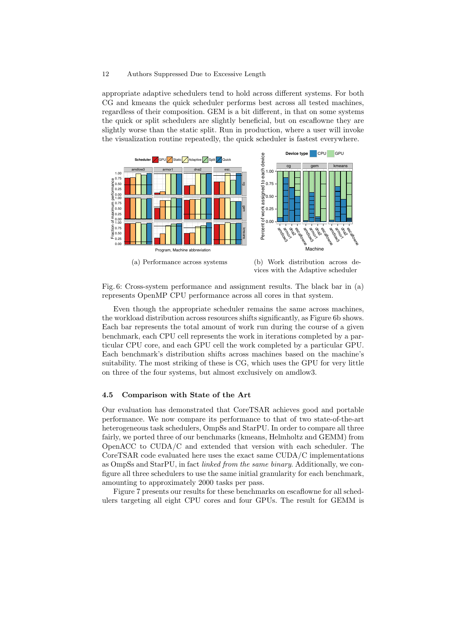appropriate adaptive schedulers tend to hold across different systems. For both CG and kmeans the quick scheduler performs best across all tested machines, regardless of their composition. GEM is a bit different, in that on some systems the quick or split schedulers are slightly beneficial, but on escaflowne they are slightly worse than the static split. Run in production, where a user will invoke the visualization routine repeatedly, the quick scheduler is fastest everywhere.



Fig. 6: Cross-system performance and assignment results. The black bar in (a) represents OpenMP CPU performance across all cores in that system.

Even though the appropriate scheduler remains the same across machines, the workload distribution across resources shifts significantly, as Figure 6b shows. Each bar represents the total amount of work run during the course of a given benchmark, each CPU cell represents the work in iterations completed by a particular CPU core, and each GPU cell the work completed by a particular GPU. Each benchmark's distribution shifts across machines based on the machine's suitability. The most striking of these is CG, which uses the GPU for very little on three of the four systems, but almost exclusively on amdlow3.

### 4.5 Comparison with State of the Art

Our evaluation has demonstrated that CoreTSAR achieves good and portable performance. We now compare its performance to that of two state-of-the-art heterogeneous task schedulers, OmpSs and StarPU. In order to compare all three fairly, we ported three of our benchmarks (kmeans, Helmholtz and GEMM) from OpenACC to CUDA/C and extended that version with each scheduler. The CoreTSAR code evaluated here uses the exact same CUDA/C implementations as OmpSs and StarPU, in fact *linked from the same binary*. Additionally, we configure all three schedulers to use the same initial granularity for each benchmark, amounting to approximately 2000 tasks per pass.

Figure 7 presents our results for these benchmarks on escaflowne for all schedulers targeting all eight CPU cores and four GPUs. The result for GEMM is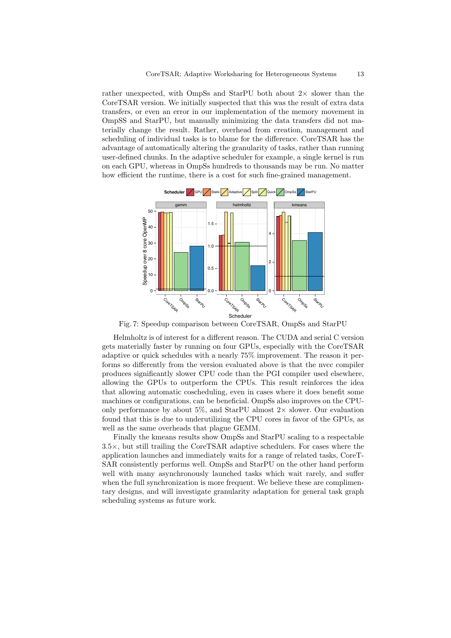rather unexpected, with OmpSs and StarPU both about  $2\times$  slower than the CoreTSAR version. We initially suspected that this was the result of extra data transfers, or even an error in our implementation of the memory movement in OmpSS and StarPU, but manually minimizing the data transfers did not materially change the result. Rather, overhead from creation, management and scheduling of individual tasks is to blame for the difference. CoreTSAR has the advantage of automatically altering the granularity of tasks, rather than running user-defined chunks. In the adaptive scheduler for example, a single kernel is run on each GPU, whereas in OmpSs hundreds to thousands may be run. No matter how efficient the runtime, there is a cost for such fine-grained management.



Fig. 7: Speedup comparison between CoreTSAR, OmpSs and StarPU

Helmholtz is of interest for a different reason. The CUDA and serial C version gets materially faster by running on four GPUs, especially with the CoreTSAR adaptive or quick schedules with a nearly 75% improvement. The reason it performs so differently from the version evaluated above is that the nvcc compiler produces significantly slower CPU code than the PGI compiler used elsewhere, allowing the GPUs to outperform the CPUs. This result reinforces the idea that allowing automatic coscheduling, even in cases where it does benefit some machines or configurations, can be beneficial. OmpSs also improves on the CPUonly performance by about 5%, and StarPU almost  $2 \times$  slower. Our evaluation found that this is due to underutilizing the CPU cores in favor of the GPUs, as well as the same overheads that plague GEMM.

Finally the kmeans results show OmpSs and StarPU scaling to a respectable  $3.5\times$ , but still trailing the CoreTSAR adaptive schedulers. For cases where the application launches and immediately waits for a range of related tasks, CoreT-SAR consistently performs well. OmpSs and StarPU on the other hand perform well with many asynchronously launched tasks which wait rarely, and suffer when the full synchronization is more frequent. We believe these are complimentary designs, and will investigate granularity adaptation for general task graph scheduling systems as future work.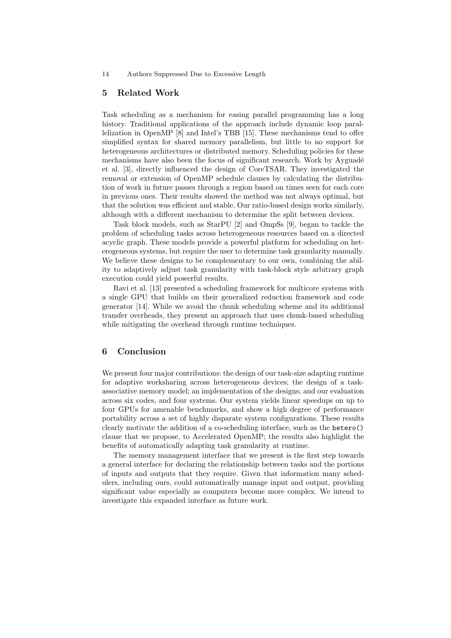## 5 Related Work

Task scheduling as a mechanism for easing parallel programming has a long history. Traditional applications of the approach include dynamic loop parallelization in OpenMP  $[8]$  and Intel's TBB  $[15]$ . These mechanisms tend to offer simplified syntax for shared memory parallelism, but little to no support for heterogeneous architectures or distributed memory. Scheduling policies for these mechanisms have also been the focus of significant research. Work by Ayguadé et al. [3], directly influenced the design of CoreTSAR. They investigated the removal or extension of OpenMP schedule clauses by calculating the distribution of work in future passes through a region based on times seen for each core in previous ones. Their results showed the method was not always optimal, but that the solution was efficient and stable. Our ratio-based design works similarly, although with a different mechanism to determine the split between devices.

Task block models, such as StarPU [2] and OmpSs [9], began to tackle the problem of scheduling tasks across heterogeneous resources based on a directed acyclic graph. These models provide a powerful platform for scheduling on heterogeneous systems, but require the user to determine task granularity manually. We believe these designs to be complementary to our own, combining the ability to adaptively adjust task granularity with task-block style arbitrary graph execution could yield powerful results.

Ravi et al. [13] presented a scheduling framework for multicore systems with a single GPU that builds on their generalized reduction framework and code generator [14]. While we avoid the chunk scheduling scheme and its additional transfer overheads, they present an approach that uses chunk-based scheduling while mitigating the overhead through runtime techniques.

# 6 Conclusion

We present four major contributions: the design of our task-size adapting runtime for adaptive worksharing across heterogeneous devices; the design of a taskassociative memory model; an implementation of the designs; and our evaluation across six codes, and four systems. Our system yields linear speedups on up to four GPUs for amenable benchmarks, and show a high degree of performance portability across a set of highly disparate system configurations. These results clearly motivate the addition of a co-scheduling interface, such as the hetero() clause that we propose, to Accelerated OpenMP; the results also highlight the benefits of automatically adapting task granularity at runtime.

The memory management interface that we present is the first step towards a general interface for declaring the relationship between tasks and the portions of inputs and outputs that they require. Given that information many schedulers, including ours, could automatically manage input and output, providing significant value especially as computers become more complex. We intend to investigate this expanded interface as future work.